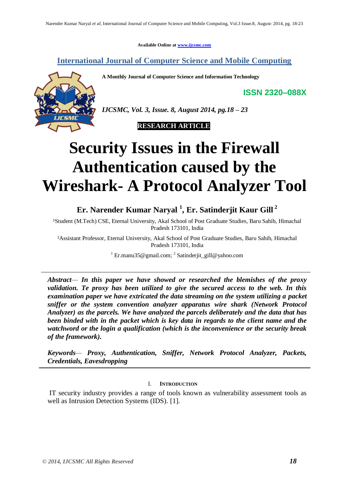**Available Online at [www.ijcsmc.com](http://www.ijcsmc.com/)**

**International Journal of Computer Science and Mobile Computing**

**A Monthly Journal of Computer Science and Information Technology**

**ISSN 2320–088X**



*IJCSMC, Vol. 3, Issue. 8, August 2014, pg.18 – 23*



# **Security Issues in the Firewall Authentication caused by the Wireshark- A Protocol Analyzer Tool**

# **Er. Narender Kumar Naryal <sup>1</sup> , Er. Satinderjit Kaur Gill <sup>2</sup>**

<sup>1</sup>Student (M.Tech) CSE, Eternal University, Akal School of Post Graduate Studies, Baru Sahib, Himachal Pradesh 173101, India

²Assistant Professor, Eternal University, Akal School of Post Graduate Studies, Baru Sahib, Himachal Pradesh 173101, India

<sup>1</sup> Er.manu35@gmail.com; <sup>2</sup> Satinderjit\_gill@yahoo.com

*Abstract— In this paper we have showed or researched the blemishes of the proxy validation. Te proxy has been utilized to give the secured access to the web. In this examination paper we have extricated the data streaming on the system utilizing a packet sniffer or the system convention analyzer apparatus wire shark (Network Protocol Analyzer) as the parcels. We have analyzed the parcels deliberately and the data that has been binded with in the packet which is key data in regards to the client name and the watchword or the login a qualification (which is the inconvenience or the security break of the framework).*

*Keywords— Proxy, Authentication, Sniffer, Network Protocol Analyzer, Packets, Credentials, Eavesdropping*

### I. **INTRODUCTION**

IT security industry provides a range of tools known as vulnerability assessment tools as well as Intrusion Detection Systems (IDS). [1].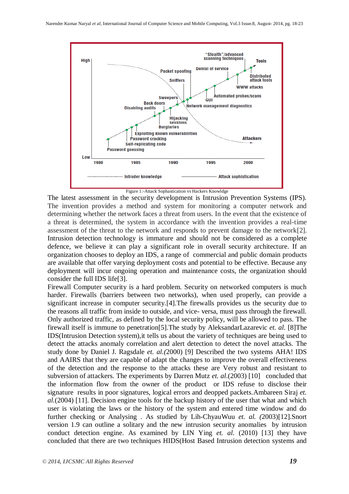

Figure 1:-Attack Sophastication vs Hackers Knowldge

The latest assessment in the security development is Intrusion Prevention Systems (IPS). The invention provides a method and system for monitoring a computer network and determining whether the network faces a threat from users. In the event that the existence of a threat is determined, the system in accordance with the invention provides a real-time assessment of the threat to the network and responds to prevent damage to the network[2]. Intrusion detection technology is immature and should not be considered as a complete defence, we believe it can play a significant role in overall security architecture. If an organization chooses to deploy an IDS, a range of commercial and public domain products are available that offer varying deployment costs and potential to be effective. Because any deployment will incur ongoing operation and maintenance costs, the organization should consider the full IDS life[3].

Firewall Computer security is a hard problem. Security on networked computers is much harder. Firewalls (barriers between two networks), when used properly, can provide a significant increase in computer security.[4].The firewalls provides us the security due to the reasons all traffic from inside to outside, and vice- versa, must pass through the firewall. Only authorized traffic, as defined by the local security policy, will be allowed to pass. The firewall itself is immune to penetration[5].The study by AleksandarLazarevic *et. al.* [8]The IDS(Intrusion Detection system),it tells us about the variety of techniques are being used to detect the attacks anomaly correlation and alert detection to detect the novel attacks. The study done by Daniel J. Ragsdale *et. al.(*2000) [9] Described the two systems AHA! IDS and AAIRS that they are capable of adapt the changes to improve the overall effectiveness of the detection and the response to the attacks these are Very robust and resistant to subversion of attackers. The experiments by Darren Mutz *et. al*.(2003) [10] concluded that the information flow from the owner of the product or IDS refuse to disclose their signature results in poor signatures, logical errors and deopped packets.Ambareen Siraj *et. al.*(2004) [11]. Decision engine tools for the backup history of the user that what and which user is violating the laws or the history of the system and entered time window and do further checking or Analysing . As studied by Lih-ChyauWuu *et. al. (*2003)[12].Snort version 1.9 can outline a solitary and the new intrusion security anomalies by intrusion conduct detection engine. As examined by LIN Ying *et. al.* (2010) [13] they have concluded that there are two techniques HIDS(Host Based Intrusion detection systems and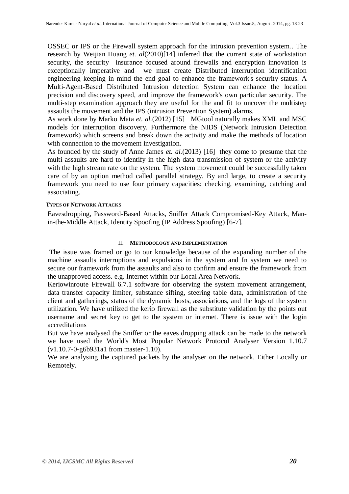OSSEC or IPS or the Firewall system approach for the intrusion prevention system.. The research by Weijian Huang *et. al*(2010)[14] inferred that the current state of workstation security, the security insurance focused around firewalls and encryption innovation is exceptionally imperative and we must create Distributed interruption identification engineering keeping in mind the end goal to enhance the framework's security status. A Multi-Agent-Based Distributed Intrusion detection System can enhance the location precision and discovery speed, and improve the framework's own particular security. The multi-step examination approach they are useful for the and fit to uncover the multistep assaults the movement and the IPS (intrusion Prevention System) alarms.

As work done by Marko Mata *et. al.*(2012) [15] MGtool naturally makes XML and MSC models for interruption discovery. Furthermore the NIDS (Network Intrusion Detection framework) which screens and break down the activity and make the methods of location with connection to the movement investigation.

As founded by the study of Anne James *et. al.*(2013) [16] they come to presume that the multi assaults are hard to identify in the high data transmission of system or the activity with the high stream rate on the system. The system movement could be successfully taken care of by an option method called parallel strategy. By and large, to create a security framework you need to use four primary capacities: checking, examining, catching and associating.

#### **TYPES OF NETWORK ATTACKS**

Eavesdropping, Password-Based Attacks, Sniffer Attack Compromised-Key Attack, Manin-the-Middle Attack, Identity Spoofing (IP Address Spoofing) [6-7].

#### II. **METHODOLOGY AND IMPLEMENTATION**

The issue was framed or go to our knowledge because of the expanding number of the machine assaults interruptions and expulsions in the system and In system we need to secure our framework from the assaults and also to confirm and ensure the framework from the unapproved access. e.g. Internet within our Local Area Network.

Keriowinroute Firewall 6.7.1 software for observing the system movement arrangement, data transfer capacity limiter, substance sifting, steering table data, administration of the client and gatherings, status of the dynamic hosts, associations, and the logs of the system utilization. We have utilized the kerio firewall as the substitute validation by the points out username and secret key to get to the system or internet. There is issue with the login accreditations

But we have analysed the Sniffer or the eaves dropping attack can be made to the network we have used the World's Most Popular Network Protocol Analyser Version 1.10.7 (v1.10.7-0-g6b931a1 from master-1.10).

We are analysing the captured packets by the analyser on the network. Either Locally or Remotely.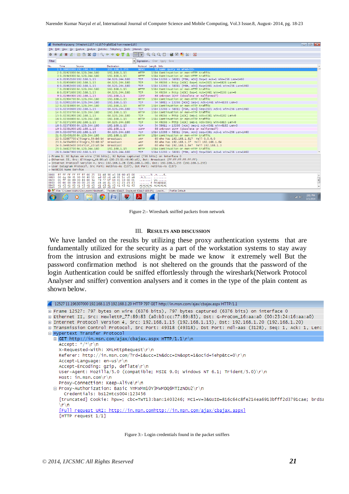| $   x$<br>finaltestfinal.pcapng [Wireshark 1.10.7 (v1.10.7-0-q6b931a1 from master-1.10)]                                                                                             |      |                                                                    |                                                                            |                           |                                                                                                     |                                                                |
|--------------------------------------------------------------------------------------------------------------------------------------------------------------------------------------|------|--------------------------------------------------------------------|----------------------------------------------------------------------------|---------------------------|-----------------------------------------------------------------------------------------------------|----------------------------------------------------------------|
| File Edit View Go Capture Analyze Statistics Telephony Tools Internals Help                                                                                                          |      |                                                                    |                                                                            |                           |                                                                                                     |                                                                |
| $\bullet$ $\bullet$                                                                                                                                                                  |      |                                                                    | <b>A H A B A X &amp; Q &amp; &amp; Q T 1</b>                               | ee                        | $0.001141131311$                                                                                    |                                                                |
|                                                                                                                                                                                      |      |                                                                    |                                                                            |                           |                                                                                                     |                                                                |
| Filter:                                                                                                                                                                              |      |                                                                    |                                                                            |                           | Expression Clear Apply Save                                                                         |                                                                |
| No.                                                                                                                                                                                  | Time | Source                                                             | <b>Destination</b>                                                         |                           | Protocol Lenath Info                                                                                |                                                                |
|                                                                                                                                                                                      |      | 1 0.00000000 192.168.1.28                                          | 192.168.1.255                                                              | <b>NBNS</b>               | 92 Name query NB WPAD<00>                                                                           |                                                                |
|                                                                                                                                                                                      |      | 2 0.01925000 64.120.244.180                                        | 192.168.1.15                                                               | <b>HTTP</b>               | 1514 Continuation or non-HTTP traffic                                                               |                                                                |
|                                                                                                                                                                                      |      | 3 0.01949300 64.120.244.180<br>4 0.01952100 192.168.1.15           | 192.168.1.15<br>64.120.244.180                                             | <b>HTTP</b><br><b>TCP</b> | 1514 Continuation or non-HTTP traffic<br>1514 13266 > 58011 [PSH, ACK] Seq=1 Ack=1 Win=256 Len=1460 |                                                                |
|                                                                                                                                                                                      |      | 5 0.01956800 192.168.1.15                                          | 64.120.244.180                                                             | <b>TCP</b>                | 54 49266 > http [ACK] Seq=1 Ack=2921 Win=6826 Len=0                                                 |                                                                |
|                                                                                                                                                                                      |      | 6 0.01962400 192.168.1.15                                          | 64.120.244.180                                                             | <b>TCP</b>                | 1514 13266 > 58011 [PSH, ACK] Seq=1461 Ack=1 Win=256 Len=1460                                       |                                                                |
|                                                                                                                                                                                      |      | 7 0.01965500 64.120.244.180                                        | 192.168.1.15                                                               | <b>HTTP</b>               | 1514 Continuation or non-HTTP traffic                                                               |                                                                |
|                                                                                                                                                                                      |      | 8 0.01971600 192.168.1.15                                          | 64.120.244.180                                                             | <b>TCP</b>                | 54 49264 > http [ACK] Seq=1 Ack=1461 Win=6193 Len=0                                                 |                                                                |
|                                                                                                                                                                                      |      | 9 0.01984900 192.168.1.15                                          | 192.168.1.1                                                                | <b>ICMP</b>               | 88 Unknown ICMP (obsolete or malformed?)                                                            |                                                                |
|                                                                                                                                                                                      |      | 10 0.01994700 64.120.244.180                                       | 192.168.1.15                                                               | <b>HTTP</b>               | 1514 Continuation or non-HTTP traffic                                                               |                                                                |
|                                                                                                                                                                                      |      | 11 0.02001100 64.120.244.180                                       | 192.168.1.15                                                               | <b>TCP</b>                | 54 58011 > 13266 [ACK] Seq=1 Ack=1461 Win=6193 Len=0                                                |                                                                |
|                                                                                                                                                                                      |      | 12 0.02319800 64.120.244.180                                       | 192.168.1.15                                                               | <b>HTTP</b>               | 1514 Continuation or non-HTTP traffic                                                               |                                                                |
|                                                                                                                                                                                      |      | 13 0.02340600 192.168.1.15                                         | 64.120.244.180                                                             | <b>TCP</b>                | 1514 13266 > 58011 [PSH, ACK] Seq=2921 Ack=1 Win=256 Len=1460                                       |                                                                |
|                                                                                                                                                                                      |      | 14 0.02355700 64.120.244.180                                       | 192.168.1.15                                                               | <b>HTTP</b>               | 1514 Continuation or non-HTTP traffic                                                               |                                                                |
|                                                                                                                                                                                      |      | 15 0.02361900 192.168.1.15                                         | 64.120.244.180                                                             | <b>TCP</b>                | 54 49264 > http [ACK] Seq=1 Ack=4381 Win=6182 Len=0                                                 |                                                                |
|                                                                                                                                                                                      |      | 16 0.02366800 64.120.244.180                                       | 192.168.1.15                                                               | <b>HTTP</b>               | 1514 Continuation or non-HTTP traffic                                                               |                                                                |
|                                                                                                                                                                                      |      | 17 0.02371500 192.168.1.15                                         | 64.120.244.180                                                             | <b>TCP</b>                | 54 49266 > http [ACK] Seq=1 Ack=5841 Win=6815 Len=0                                                 |                                                                |
|                                                                                                                                                                                      |      | 18 0.02378300 64.120.244.180                                       | 192.168.1.15                                                               | <b>TCP</b>                | 54 58011 > 13266 [ACK] Seq=1 Ack=4381 Win=6182 Len=0                                                |                                                                |
|                                                                                                                                                                                      |      | 19 0.02391900 192.168.1.15                                         | 192.168.1.1                                                                | <b>ICMP</b>               | 88 Unknown ICMP (obsolete or malformed?)                                                            |                                                                |
|                                                                                                                                                                                      |      | 20 0.02400700 192.168.1.15                                         | 64.120.244.180                                                             | <b>TCP</b>                | 1514 13266 > 58011 [PSH, ACK] Seq=4381 Ack=1 Win=256 Len=1460                                       |                                                                |
|                                                                                                                                                                                      |      | 21 0.02409100 64.120.244.180                                       | 192.168.1.15                                                               | <b>HTTP</b>               | 1514 Continuation or non-HTTP traffic                                                               |                                                                |
|                                                                                                                                                                                      |      | 22 0.02867700 Elitegro_54:b6:b4<br>23 0.04594600 Elitegro 53:88:b7 | Broadcast                                                                  | <b>ARP</b>                | 60 who has 192.168.1.81? Tell 0.0.0.0                                                               |                                                                |
|                                                                                                                                                                                      |      | 24 0.04662400 IntelCor_c0:a5:b4                                    | Broadcast<br>Broadcast                                                     | <b>ARP</b><br><b>ARP</b>  | 60 who has 192.168.1.3? Tell 192.168.1.64<br>60 who has 192.168.1.64? Tell 192.168.1.3              |                                                                |
|                                                                                                                                                                                      |      | 25 0.04822700 64.120.244.180                                       | 192.168.1.15                                                               | <b>HTTP</b>               | 1514 Continuation or non-HTTP traffic                                                               |                                                                |
|                                                                                                                                                                                      |      | 26 0.04847900 192.168.1.15                                         | 64.120.244.180                                                             | <b>TCP</b>                | 1514 13266 > 58011 [PSH, ACK] Seq=5841 Ack=1 Win=256 Len=1460                                       |                                                                |
|                                                                                                                                                                                      |      |                                                                    |                                                                            |                           |                                                                                                     |                                                                |
| E Frame 1: 92 bytes on wire (736 bits), 92 bytes captured (736 bits) on interface 0<br>E Ethernet II, Src: Elitegro_48:90:a5 (00:25:11:48:90:a5), Dst: Broadcast (ff:ff:ff:ff:ff:ff) |      |                                                                    |                                                                            |                           |                                                                                                     |                                                                |
| ⊞ Internet Protocol Version 4, Src: 192,168,1,28 (192,168,1,28), Dst: 192,168,1,255 (192,168,1,255)                                                                                  |      |                                                                    |                                                                            |                           |                                                                                                     |                                                                |
| E User Datagram Protocol, Src Port: netbios-ns (137), Dst Port: netbios-ns (137)                                                                                                     |      |                                                                    |                                                                            |                           |                                                                                                     |                                                                |
| <b>E NetBIOS Name Service</b>                                                                                                                                                        |      |                                                                    |                                                                            |                           |                                                                                                     |                                                                |
|                                                                                                                                                                                      |      |                                                                    |                                                                            |                           |                                                                                                     |                                                                |
| 0000<br>0010                                                                                                                                                                         |      | 00 4e 09 31 00 00 80 11                                            | ff ff ff ff ff ff fo 25 11 48 90 a5 08 00 45 00<br>ad 02 c0 a8 01 1c c0 a8 |                           | $1.1.1.1.1%$ . H. E.                                                                                |                                                                |
| 0020                                                                                                                                                                                 |      | 01 ff 00 89 00 89 00 3a                                            | 79 77 bf 16 01 10 00 01                                                    |                           | .N.1<br>contract Western                                                                            | $\begin{array}{c}\n\bullet \\ \bullet \\ \bullet\n\end{array}$ |
|                                                                                                                                                                                      |      | 0030 00 00 00 00 00 00 20 46                                       | 48 46 41 45 42 45 45 43                                                    |                           | F HFAEBEEC                                                                                          |                                                                |
| 0040<br><b>OOSO</b>                                                                                                                                                                  |      |                                                                    | 41 43 41 43 41 43 41 43 41 43 41 43 41 43 41 43 41 43                      | <b>ACACAAA</b>            | ACACACAC ACACACAC                                                                                   |                                                                |
| 41 42 41 42 41 41 41 00 00 20 00 01<br>1. [100.0%] File: "C:\Users\MANU\Documents\finaltestfi   Packets: 634415 - Displayed: 634415 (100.0%) - Load ti<br>Profile: Default           |      |                                                                    |                                                                            |                           |                                                                                                     |                                                                |
|                                                                                                                                                                                      |      |                                                                    |                                                                            |                           |                                                                                                     |                                                                |
|                                                                                                                                                                                      |      |                                                                    | 坚                                                                          |                           |                                                                                                     | 2:01 PM<br>$\triangle$ all $\langle \Phi \rangle$<br>7/3/2014  |
|                                                                                                                                                                                      |      |                                                                    |                                                                            |                           |                                                                                                     |                                                                |

Figure 2:- Wireshark sniffed packets from network

#### III. **RESULTS AND DISCUSSION**

We have landed on the results by utilizing these proxy authentication systems that are fundamentally utilized for the security as a part of the workstation systems to stay away from the intrusion and extrusions might be made we know it extremely well But the password confirmation method is not sheltered on the grounds that the password of the login Authentication could be sniffed effortlessly through the wireshark(Network Protocol Analyser and sniffer) convention analysers and it comes in the type of the plain content as shown below.



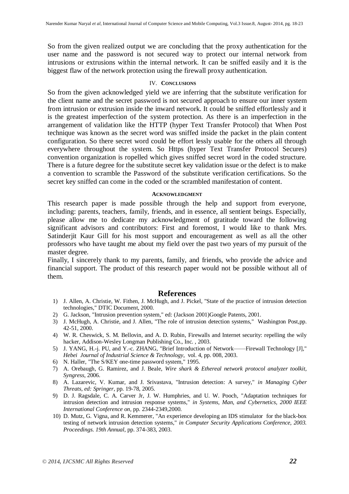So from the given realized output we are concluding that the proxy authentication for the user name and the password is not secured way to protect our internal network from intrusions or extrusions within the internal network. It can be sniffed easily and it is the biggest flaw of the network protection using the firewall proxy authentication.

#### IV. **CONCLUSIONS**

So from the given acknowledged yield we are inferring that the substitute verification for the client name and the secret password is not secured approach to ensure our inner system from intrusion or extrusion inside the inward network. It could be sniffed effortlessly and it is the greatest imperfection of the system protection. As there is an imperfection in the arrangement of validation like the HTTP (hyper Text Transfer Protocol) that When Post technique was known as the secret word was sniffed inside the packet in the plain content configuration. So there secret word could be effort lessly usable for the others all through everywhere throughout the system. So Https (hyper Text Transfer Protocol Secures) convention organization is ropelled which gives sniffed secret word in the coded structure. There is a future degree for the substitute secret key validation issue or the defect is to make a convention to scramble the Password of the substitute verification certifications. So the secret key sniffed can come in the coded or the scrambled manifestation of content.

#### **ACKNOWLEDGMENT**

This research paper is made possible through the help and support from everyone, including: parents, teachers, family, friends, and in essence, all sentient beings. Especially, please allow me to dedicate my acknowledgment of gratitude toward the following significant advisors and contributors: First and foremost, I would like to thank Mrs. Satinderjit Kaur Gill for his most support and encouragement as well as all the other professors who have taught me about my field over the past two years of my pursuit of the master degree.

Finally, I sincerely thank to my parents, family, and friends, who provide the advice and financial support. The product of this research paper would not be possible without all of them.

## **References**

- 1) J. Allen, A. Christie, W. Fithen, J. McHugh, and J. Pickel, "State of the practice of intrusion detection technologies," DTIC Document, 2000.
- 2) G. Jackson, "Intrusion prevention system," ed: (Jackson 2001)Google Patents, 2001.
- 3) J. McHugh, A. Christie, and J. Allen, "The role of intrusion detection systems," Washington Post,pp. 42-51, 2000.
- 4) W. R. Cheswick, S. M. Bellovin, and A. D. Rubin, Firewalls and Internet security: repelling the wily hacker, Addison-Wesley Longman Publishing Co., Inc. , 2003.
- 5) J. YANG, H.-j. PU, and Y.-c. ZHANG, "Brief Introduction of Network——Firewall Technology [J]," *Hebei Journal of Industrial Science & Technology*, vol. 4, pp. 008, 2003.
- 6) N. Haller, "The S/KEY one-time password system," 1995.
- 7) A. Orebaugh, G. Ramirez, and J. Beale, *Wire shark & Ethereal network protocol analyzer toolkit, Syngress*, 2006.
- 8) A. Lazarevic, V. Kumar, and J. Srivastava, "Intrusion detection: A survey," *in Managing Cyber Threats, ed: Springer*, pp. 19-78, 2005.
- 9) D. J. Ragsdale, C. A. Carver Jr, J. W. Humphries, and U. W. Pooch, "Adaptation techniques for intrusion detection and intrusion response systems," *in Systems, Man, and Cybernetics, 2000 IEEE International Conference on,* pp. 2344-2349,2000.
- 10) D. Mutz, G. Vigna, and R. Kemmerer, "An experience developing an IDS stimulator for the black-box testing of network intrusion detection systems," *in Computer Security Applications Conference, 2003. Proceedings. 19th Annual*, pp. 374-383, 2003.